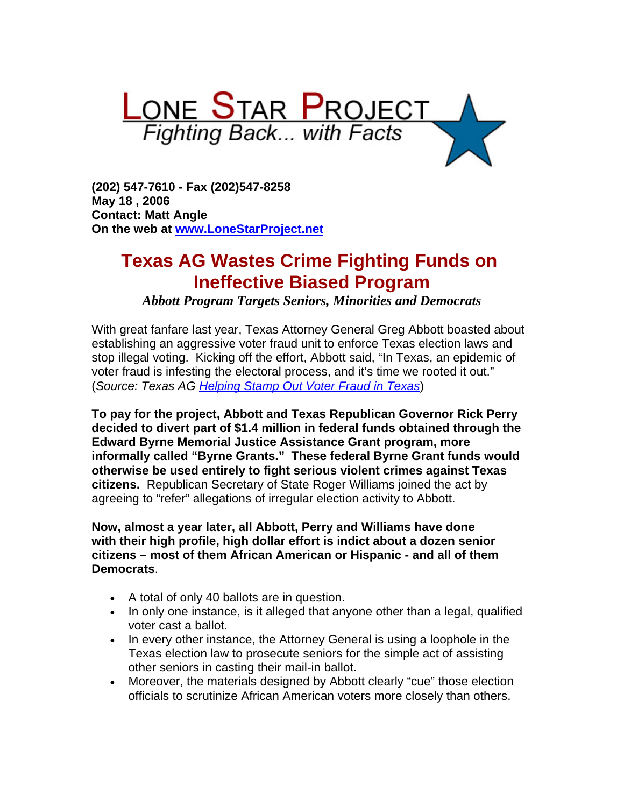

**(202) 547-7610 - Fax (202)547-8258 May 18 , 2006 Contact: Matt Angle On the web at [www.LoneStarProject.net](http://www.lonestarproject.net/)**

# **Texas AG Wastes Crime Fighting Funds on Ineffective Biased Program**

*Abbott Program Targets Seniors, Minorities and Democrats*

With great fanfare last year, Texas Attorney General Greg Abbott boasted about establishing an aggressive voter fraud unit to enforce Texas election laws and stop illegal voting. Kicking off the effort, Abbott said, "In Texas, an epidemic of voter fraud is infesting the electoral process, and it's time we rooted it out." (*Source: Texas AG [Helping Stamp Out Voter Fraud in Texas](http://www.oag.state.tx.us/newspubs/weeklyag/2006/0306voterfraud.pdf)*)

**To pay for the project, Abbott and Texas Republican Governor Rick Perry decided to divert part of \$1.4 million in federal funds obtained through the Edward Byrne Memorial Justice Assistance Grant program, more informally called "Byrne Grants." These federal Byrne Grant funds would otherwise be used entirely to fight serious violent crimes against Texas citizens.** Republican Secretary of State Roger Williams joined the act by agreeing to "refer" allegations of irregular election activity to Abbott.

**Now, almost a year later, all Abbott, Perry and Williams have done with their high profile, high dollar effort is indict about a dozen senior citizens – most of them African American or Hispanic - and all of them Democrats**.

- A total of only 40 ballots are in question.
- In only one instance, is it alleged that anyone other than a legal, qualified voter cast a ballot.
- In every other instance, the Attorney General is using a loophole in the Texas election law to prosecute seniors for the simple act of assisting other seniors in casting their mail-in ballot.
- Moreover, the materials designed by Abbott clearly "cue" those election officials to scrutinize African American voters more closely than others.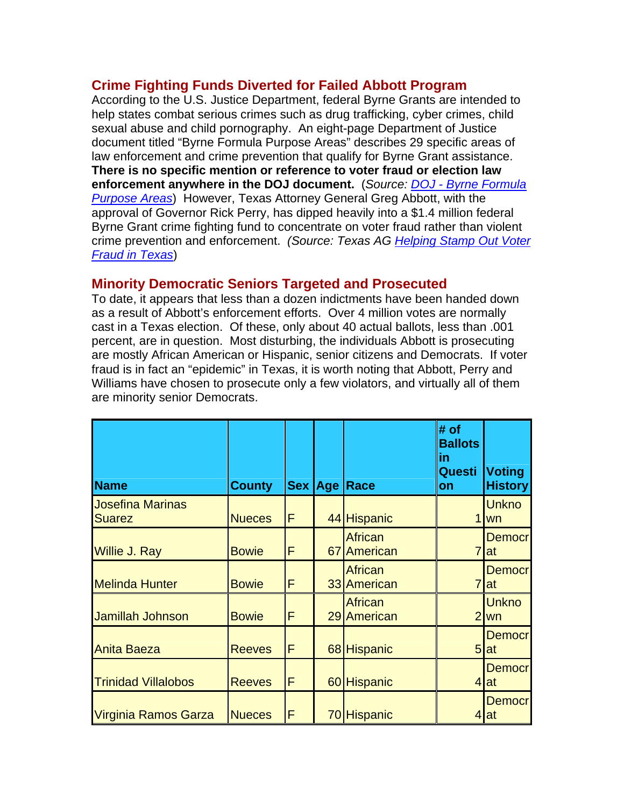## **Crime Fighting Funds Diverted for Failed Abbott Program**

According to the U.S. Justice Department, federal Byrne Grants are intended to help states combat serious crimes such as drug trafficking, cyber crimes, child sexual abuse and child pornography. An eight-page Department of Justice document titled "Byrne Formula Purpose Areas" describes 29 specific areas of law enforcement and crime prevention that qualify for Byrne Grant assistance. **There is no specific mention or reference to voter fraud or election law enforcement anywhere in the DOJ document.** (*Source: [DOJ - Byrne Formula](http://www.ojp.usdoj.gov/BJA/grant/byrnepurpose.html)  [Purpose Areas](http://www.ojp.usdoj.gov/BJA/grant/byrnepurpose.html)*) However, Texas Attorney General Greg Abbott, with the approval of Governor Rick Perry, has dipped heavily into a \$1.4 million federal Byrne Grant crime fighting fund to concentrate on voter fraud rather than violent crime prevention and enforcement. *(Source: Texas AG [Helping Stamp Out Voter](http://www.oag.state.tx.us/newspubs/weeklyag/2006/0306voterfraud.pdf)  [Fraud in Texas](http://www.oag.state.tx.us/newspubs/weeklyag/2006/0306voterfraud.pdf)*)

#### **Minority Democratic Seniors Targeted and Prosecuted**

To date, it appears that less than a dozen indictments have been handed down as a result of Abbott's enforcement efforts. Over 4 million votes are normally cast in a Texas election. Of these, only about 40 actual ballots, less than .001 percent, are in question. Most disturbing, the individuals Abbott is prosecuting are mostly African American or Hispanic, senior citizens and Democrats. If voter fraud is in fact an "epidemic" in Texas, it is worth noting that Abbott, Perry and Williams have chosen to prosecute only a few violators, and virtually all of them are minority senior Democrats.

| <b>Name</b>                              | <b>County</b> |    | Sex Age Race                  | $#$ of<br><b>Ballots</b><br>in<br>Questi<br>on | <b>Voting</b><br><b>History</b> |
|------------------------------------------|---------------|----|-------------------------------|------------------------------------------------|---------------------------------|
| <b>Josefina Marinas</b><br><b>Suarez</b> | <b>Nueces</b> | ΙF | 44 Hispanic                   | 1                                              | <b>Unkno</b><br>wn              |
| <b>Willie J. Ray</b>                     | <b>Bowie</b>  | F  | <b>African</b><br>67 American | $\overline{7}$                                 | <b>Democr</b><br><b>at</b>      |
| <b>Melinda Hunter</b>                    | <b>Bowie</b>  | F  | <b>African</b><br>33 American | $\overline{7}$                                 | <b>Democr</b><br>lat            |
| Jamillah Johnson                         | <b>Bowie</b>  | F  | <b>African</b><br>29 American | $\overline{2}$                                 | <b>Unkno</b><br>wn              |
| <b>Anita Baeza</b>                       | <b>Reeves</b> | F  | 68 Hispanic                   | 5                                              | <b>Democr</b><br>lat            |
| <b>Trinidad Villalobos</b>               | <b>Reeves</b> | F  | 60 Hispanic                   | 4                                              | <b>Democr</b><br>lat            |
| Virginia Ramos Garza                     | <b>Nueces</b> | F  | 70 Hispanic                   | 4                                              | <b>Democr</b><br><b>at</b>      |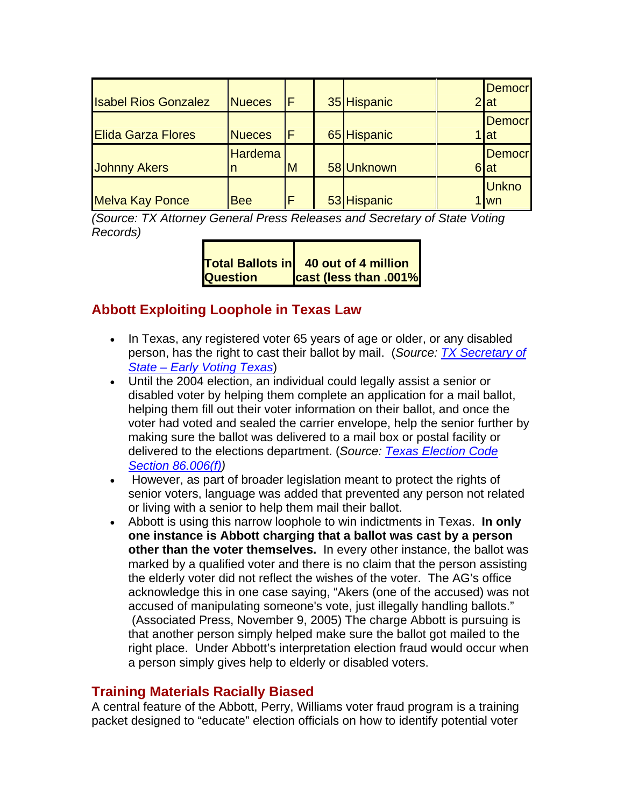| <b>Isabel Rios Gonzalez</b> | <b>Nueces</b>  | F | 35 Hispanic | <b>Democr</b><br>2 at  |
|-----------------------------|----------------|---|-------------|------------------------|
| <b>Elida Garza Flores</b>   | <b>Nueces</b>  | F | 65 Hispanic | <b>Democr</b><br>1 lat |
| <b>Johnny Akers</b>         | <b>Hardema</b> | M | 58 Unknown  | <b>Democr</b><br>6 at  |
| <b>Melva Kay Ponce</b>      | <b>Bee</b>     | F | 53 Hispanic | <b>Unkno</b><br>lwn    |

*(Source: TX Attorney General Press Releases and Secretary of State Voting Records)*

|                 | Total Ballots in 40 out of 4 million |
|-----------------|--------------------------------------|
| <b>Question</b> | <b>cast (less than .001%</b>         |

## **Abbott Exploiting Loophole in Texas Law**

- In Texas, any registered voter 65 years of age or older, or any disabled person, has the right to cast their ballot by mail. (*Source: [TX Secretary of](http://www.sos.state.tx.us/elections/pamphlets/earlyvote.shtml)  [State – Early Voting Texas](http://www.sos.state.tx.us/elections/pamphlets/earlyvote.shtml)*)
- Until the 2004 election, an individual could legally assist a senior or disabled voter by helping them complete an application for a mail ballot, helping them fill out their voter information on their ballot, and once the voter had voted and sealed the carrier envelope, help the senior further by making sure the ballot was delivered to a mail box or postal facility or delivered to the elections department. (*Source: [Texas Election Code](http://www.capitol.state.tx.us/tlo/78R/billtext/HB00054I.HTM)  [Section 86.006\(f\)](http://www.capitol.state.tx.us/tlo/78R/billtext/HB00054I.HTM))*
- However, as part of broader legislation meant to protect the rights of senior voters, language was added that prevented any person not related or living with a senior to help them mail their ballot.
- Abbott is using this narrow loophole to win indictments in Texas. **In only one instance is Abbott charging that a ballot was cast by a person other than the voter themselves.** In every other instance, the ballot was marked by a qualified voter and there is no claim that the person assisting the elderly voter did not reflect the wishes of the voter. The AG's office acknowledge this in one case saying, "Akers (one of the accused) was not accused of manipulating someone's vote, just illegally handling ballots." (Associated Press, November 9, 2005) The charge Abbott is pursuing is that another person simply helped make sure the ballot got mailed to the right place. Under Abbott's interpretation election fraud would occur when a person simply gives help to elderly or disabled voters.

#### **Training Materials Racially Biased**

A central feature of the Abbott, Perry, Williams voter fraud program is a training packet designed to "educate" election officials on how to identify potential voter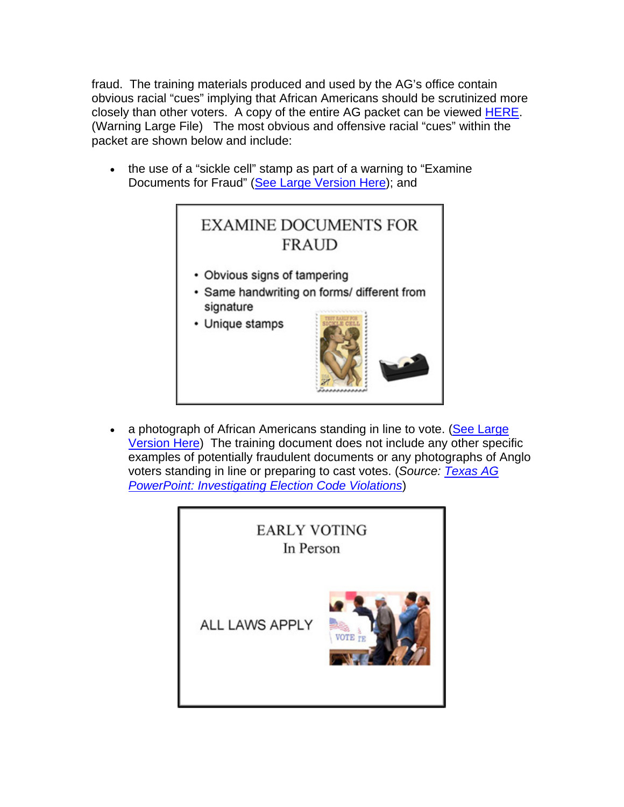fraud. The training materials produced and used by the AG's office contain obvious racial "cues" implying that African Americans should be scrutinized more closely than other voters. A copy of the entire AG packet can be viewed [HERE.](http://www.lonestarproject.net/files/Master%20-%20Election%20Code%20Enforcement%2006.pdf) (Warning Large File) The most obvious and offensive racial "cues" within the packet are shown below and include:

• the use of a "sickle cell" stamp as part of a warning to "Examine Documents for Fraud" ([See Large Version Here\)](http://www.lonestarproject.net/files/Master%20-%20Election%20Code%20Enforcement%2006%2061.pdf); and



• a photograph of African Americans standing in line to vote. (See Large [Version Here](http://www.lonestarproject.net/files/Master%20-%20Election%20Code%20Enforcement%2006%2025.pdf)) The training document does not include any other specific examples of potentially fraudulent documents or any photographs of Anglo voters standing in line or preparing to cast votes. (*Source: [Texas AG](http://www.lonestarproject.net/files/Master%20-%20Election%20Code%20Enforcement%2006.pdf)  [PowerPoint: Investigating Election Code Violations](http://www.lonestarproject.net/files/Master%20-%20Election%20Code%20Enforcement%2006.pdf)*)